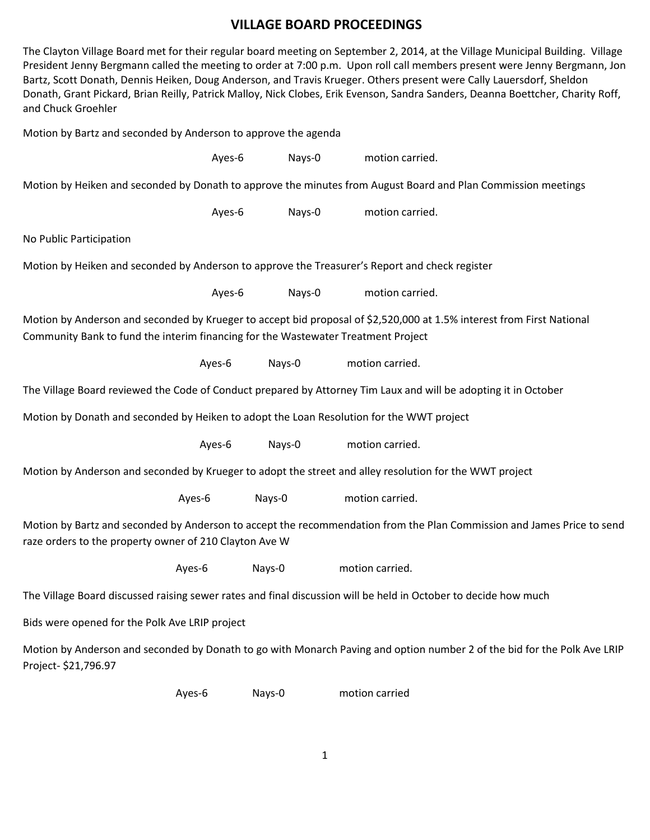## **VILLAGE BOARD PROCEEDINGS**

The Clayton Village Board met for their regular board meeting on September 2, 2014, at the Village Municipal Building. Village President Jenny Bergmann called the meeting to order at 7:00 p.m. Upon roll call members present were Jenny Bergmann, Jon Bartz, Scott Donath, Dennis Heiken, Doug Anderson, and Travis Krueger. Others present were Cally Lauersdorf, Sheldon Donath, Grant Pickard, Brian Reilly, Patrick Malloy, Nick Clobes, Erik Evenson, Sandra Sanders, Deanna Boettcher, Charity Roff, and Chuck Groehler

Motion by Bartz and seconded by Anderson to approve the agenda

| Ayes-6                                                                                                                                                                                                     | Nays-0 | motion carried. |  |
|------------------------------------------------------------------------------------------------------------------------------------------------------------------------------------------------------------|--------|-----------------|--|
| Motion by Heiken and seconded by Donath to approve the minutes from August Board and Plan Commission meetings                                                                                              |        |                 |  |
| Ayes-6                                                                                                                                                                                                     | Nays-0 | motion carried. |  |
| No Public Participation                                                                                                                                                                                    |        |                 |  |
| Motion by Heiken and seconded by Anderson to approve the Treasurer's Report and check register                                                                                                             |        |                 |  |
| Ayes-6                                                                                                                                                                                                     | Nays-0 | motion carried. |  |
| Motion by Anderson and seconded by Krueger to accept bid proposal of \$2,520,000 at 1.5% interest from First National<br>Community Bank to fund the interim financing for the Wastewater Treatment Project |        |                 |  |
| Ayes-6                                                                                                                                                                                                     | Nays-0 | motion carried. |  |
| The Village Board reviewed the Code of Conduct prepared by Attorney Tim Laux and will be adopting it in October                                                                                            |        |                 |  |
| Motion by Donath and seconded by Heiken to adopt the Loan Resolution for the WWT project                                                                                                                   |        |                 |  |
| Ayes-6                                                                                                                                                                                                     | Nays-0 | motion carried. |  |
| Motion by Anderson and seconded by Krueger to adopt the street and alley resolution for the WWT project                                                                                                    |        |                 |  |
| Ayes-6                                                                                                                                                                                                     | Nays-0 | motion carried. |  |
| Motion by Bartz and seconded by Anderson to accept the recommendation from the Plan Commission and James Price to send<br>raze orders to the property owner of 210 Clayton Ave W                           |        |                 |  |
| Ayes-6                                                                                                                                                                                                     | Nays-0 | motion carried. |  |
| The Village Board discussed raising sewer rates and final discussion will be held in October to decide how much                                                                                            |        |                 |  |
| Bids were opened for the Polk Ave LRIP project                                                                                                                                                             |        |                 |  |
| Motion by Anderson and seconded by Donath to go with Monarch Paving and option number 2 of the bid for the Polk Ave LRIP<br>Project-\$21,796.97                                                            |        |                 |  |

Ayes-6 Nays-0 motion carried